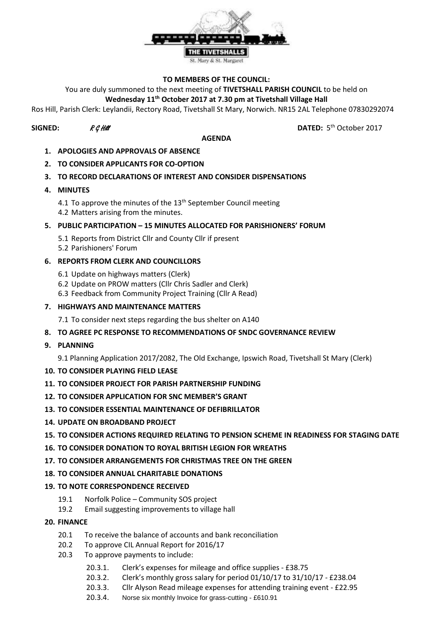

### **TO MEMBERS OF THE COUNCIL:**

You are duly summoned to the next meeting of **TIVETSHALL PARISH COUNCIL** to be held on

## **Wednesday 11th October 2017 at 7.30 pm at Tivetshall Village Hall**

Ros Hill, Parish Clerk: Leylandii, Rectory Road, Tivetshall St Mary, Norwich. NR15 2AL Telephone 07830292074

# **SIGNED:**  $R \mathcal{G}$  Hill **DATED:** 5

#### **AGENDA**

DATED: 5<sup>th</sup> October 2017

- **1. APOLOGIES AND APPROVALS OF ABSENCE**
- **2. TO CONSIDER APPLICANTS FOR CO-OPTION**

## **3. TO RECORD DECLARATIONS OF INTEREST AND CONSIDER DISPENSATIONS**

- **4. MINUTES**
	- 4.1 To approve the minutes of the  $13<sup>th</sup>$  September Council meeting 4.2 Matters arising from the minutes.

## **5. PUBLIC PARTICIPATION – 15 MINUTES ALLOCATED FOR PARISHIONERS' FORUM**

- 5.1 Reports from District Cllr and County Cllr if present
- 5.2 Parishioners' Forum

## **6. REPORTS FROM CLERK AND COUNCILLORS**

- 6.1 Update on highways matters (Clerk)
- 6.2 Update on PROW matters (Cllr Chris Sadler and Clerk)
- 6.3 Feedback from Community Project Training (Cllr A Read)

## **7. HIGHWAYS AND MAINTENANCE MATTERS**

7.1 To consider next steps regarding the bus shelter on A140

## **8. TO AGREE PC RESPONSE TO RECOMMENDATIONS OF SNDC GOVERNANCE REVIEW**

**9. PLANNING**

9.1 Planning Application 2017/2082, The Old Exchange, Ipswich Road, Tivetshall St Mary (Clerk)

- **10. TO CONSIDER PLAYING FIELD LEASE**
- **11. TO CONSIDER PROJECT FOR PARISH PARTNERSHIP FUNDING**
- **12. TO CONSIDER APPLICATION FOR SNC MEMBER'S GRANT**
- **13. TO CONSIDER ESSENTIAL MAINTENANCE OF DEFIBRILLATOR**
- **14. UPDATE ON BROADBAND PROJECT**

#### **15. TO CONSIDER ACTIONS REQUIRED RELATING TO PENSION SCHEME IN READINESS FOR STAGING DATE**

- **16. TO CONSIDER DONATION TO ROYAL BRITISH LEGION FOR WREATHS**
- **17. TO CONSIDER ARRANGEMENTS FOR CHRISTMAS TREE ON THE GREEN**
- **18. TO CONSIDER ANNUAL CHARITABLE DONATIONS**

#### **19. TO NOTE CORRESPONDENCE RECEIVED**

- 19.1 Norfolk Police Community SOS project
- 19.2 Email suggesting improvements to village hall
- **20. FINANCE**
	- 20.1 To receive the balance of accounts and bank reconciliation
	- 20.2 To approve CIL Annual Report for 2016/17
	- 20.3 To approve payments to include:
		- 20.3.1. Clerk's expenses for mileage and office supplies £38.75
		- 20.3.2. Clerk's monthly gross salary for period 01/10/17 to 31/10/17 £238.04
		- 20.3.3. Cllr Alyson Read mileage expenses for attending training event £22.95
		- 20.3.4. Norse six monthly Invoice for grass-cutting £610.91